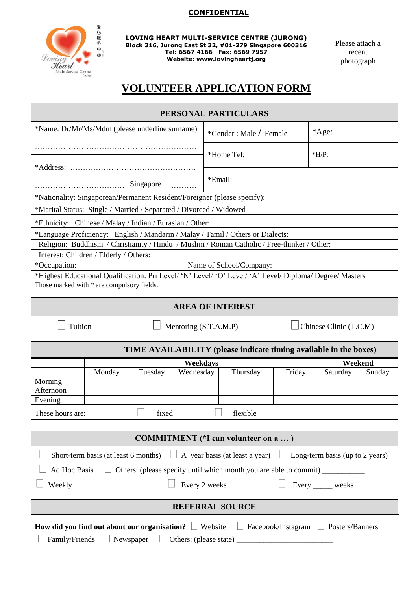## **CONFIDENTIAL**



Г

**LOVING HEART MULTI-SERVICE CENTRE (JURONG) Block 316, Jurong East St 32, #01-279 Singapore 600316 Tel: 6567 4166 Fax: 6569 7957 Website: www.lovingheartj.org**

Please attach a recent photograph

## **VOLUNTEER APPLICATION FORM**

| PERSONAL PARTICULARS                                                                                     |                            |         |  |  |
|----------------------------------------------------------------------------------------------------------|----------------------------|---------|--|--|
| *Name: Dr/Mr/Ms/Mdm (please underline surname)                                                           | $*$ Gender : Male / Female | *Age:   |  |  |
|                                                                                                          | *Home Tel:                 | $*H/P:$ |  |  |
|                                                                                                          |                            |         |  |  |
| Singapore                                                                                                | *Email:                    |         |  |  |
| *Nationality: Singaporean/Permanent Resident/Foreigner (please specify):                                 |                            |         |  |  |
| *Marital Status: Single / Married / Separated / Divorced / Widowed                                       |                            |         |  |  |
| *Ethnicity: Chinese / Malay / Indian / Eurasian / Other:                                                 |                            |         |  |  |
| *Language Proficiency: English / Mandarin / Malay / Tamil / Others or Dialects:                          |                            |         |  |  |
| Religion: Buddhism / Christianity / Hindu / Muslim / Roman Catholic / Free-thinker / Other:              |                            |         |  |  |
| Interest: Children / Elderly / Others:                                                                   |                            |         |  |  |
| *Occupation:<br>Name of School/Company:                                                                  |                            |         |  |  |
| *Highest Educational Qualification: Pri Level/ 'N' Level/ 'O' Level/ 'A' Level/ Diploma/ Degree/ Masters |                            |         |  |  |
| Those marked with * are compulsory fields.                                                               |                            |         |  |  |
| AREA OF INTEREST                                                                                         |                            |         |  |  |

## **AREA OF INTEREST**

Tuition Mentoring  $(S.T.A.M.P)$  Chinese Clinic  $(T.C.M)$ 

| TIME AVAILABILITY (please indicate timing available in the boxes) |          |         |           |          |        |          |        |
|-------------------------------------------------------------------|----------|---------|-----------|----------|--------|----------|--------|
|                                                                   | Weekdays |         |           | Weekend  |        |          |        |
|                                                                   | Monday   | Tuesday | Wednesday | Thursday | Friday | Saturday | Sunday |
| Morning                                                           |          |         |           |          |        |          |        |
| Afternoon                                                         |          |         |           |          |        |          |        |
| Evening                                                           |          |         |           |          |        |          |        |
| fixed<br>These hours are:<br>flexible                             |          |         |           |          |        |          |        |

| <b>COMMITMENT</b> (*I can volunteer on a )                                                                        |                                     |  |
|-------------------------------------------------------------------------------------------------------------------|-------------------------------------|--|
| Short-term basis (at least 6 months) $\Box$ A year basis (at least a year) $\Box$ Long-term basis (up to 2 years) |                                     |  |
| Ad Hoc Basis $\Box$ Others: (please specify until which month you are able to commit) $\Box$                      |                                     |  |
| Weekly                                                                                                            | Every 2 weeks<br>Every ______ weeks |  |
| <b>REFERRAL SOURCE</b>                                                                                            |                                     |  |
|                                                                                                                   |                                     |  |

|                                                                      | <b>How did you find out about our organisation?</b> $\Box$ Website $\Box$ Facebook/Instagram $\Box$ Posters/Banners |  |
|----------------------------------------------------------------------|---------------------------------------------------------------------------------------------------------------------|--|
| $\Box$ Family/Friends $\Box$ Newspaper $\Box$ Others: (please state) |                                                                                                                     |  |